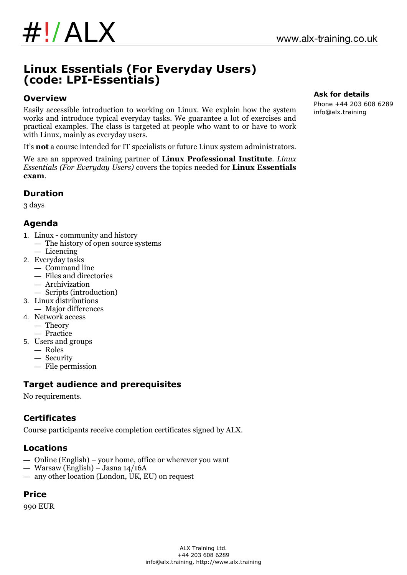

# **Linux Essentials (For Everyday Users) (code: LPI-Essentials)**

#### **Overview**

Easily accessible introduction to working on Linux. We explain how the system works and introduce typical everyday tasks. We guarantee a lot of exercises and practical examples. The class is targeted at people who want to or have to work with Linux, mainly as everyday users.

It's **not** a course intended for IT specialists or future Linux system administrators.

We are an approved training partner of **Linux Professional Institute**. *Linux Essentials (For Everyday Users)* covers the topics needed for **Linux Essentials exam**.

#### **Duration**

3 days

## **Agenda**

- 1. Linux community and history
	- The history of open source systems
- Licencing
- 2. Everyday tasks
	- Command line
	- Files and directories
	- Archivization
	- Scripts (introduction)
- 3. Linux distributions
- Major differences
- 4. Network access
	- Theory
	- Practice
- 5. Users and groups
	- Roles
	- Security
	- File permission

### **Target audience and prerequisites**

No requirements.

# **Certificates**

Course participants receive completion certificates signed by ALX.

### **Locations**

- Online (English) your home, office or wherever you want
- Warsaw (English) Jasna 14/16A
- any other location (London, UK, EU) on request

### **Price**

990 EUR

#### **Ask for details**

Phone +44 203 608 6289 info@alx.training